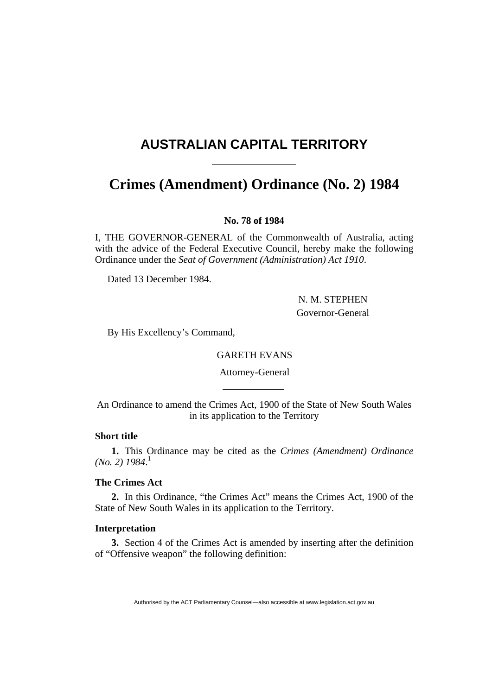# <span id="page-0-0"></span>**AUSTRALIAN CAPITAL TERRITORY**

## **Crimes (Amendment) Ordinance (No. 2) [1984](#page-0-0)**

**No. 78 of 1984** 

I, THE GOVERNOR-GENERAL of the Commonwealth of Australia, acting with the advice of the Federal Executive Council, hereby make the following Ordinance under the *Seat of Government (Administration) Act 1910*.

Dated 13 December 1984.

 N. M. STEPHEN Governor-General

By His Excellency's Command,

## GARETH EVANS

Attorney-General

An Ordinance to amend the Crimes Act, 1900 of the State of New South Wales in its application to the Territory

## **Short title**

**1.** This Ordinance may be cited as the *Crimes (Amendment) Ordinance (No. 2) 1984*. 1

## **The Crimes Act**

**2.** In this Ordinance, "the Crimes Act" means the Crimes Act, 1900 of the State of New South Wales in its application to the Territory.

## **Interpretation**

**3.** Section 4 of the Crimes Act is amended by inserting after the definition of "Offensive weapon" the following definition:

Authorised by the ACT Parliamentary Counsel—also accessible at www.legislation.act.gov.au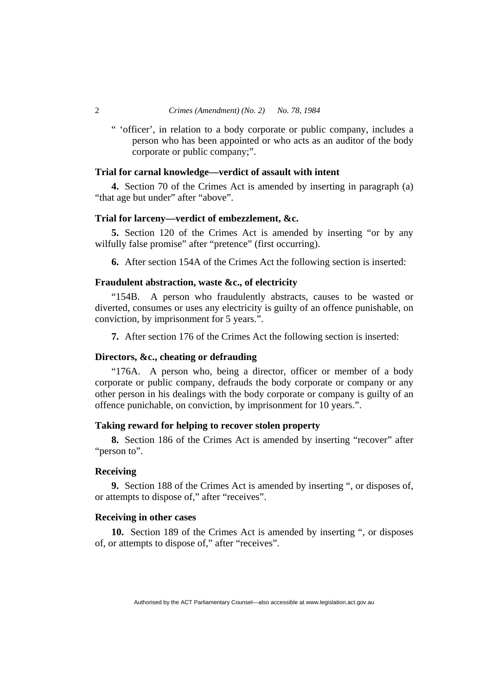" 'officer', in relation to a body corporate or public company, includes a person who has been appointed or who acts as an auditor of the body corporate or public company;".

## **Trial for carnal knowledge—verdict of assault with intent**

**4.** Section 70 of the Crimes Act is amended by inserting in paragraph (a) "that age but under" after "above".

## **Trial for larceny—verdict of embezzlement, &c.**

**5.** Section 120 of the Crimes Act is amended by inserting "or by any wilfully false promise" after "pretence" (first occurring).

**6.** After section 154A of the Crimes Act the following section is inserted:

#### **Fraudulent abstraction, waste &c., of electricity**

"154B. A person who fraudulently abstracts, causes to be wasted or diverted, consumes or uses any electricity is guilty of an offence punishable, on conviction, by imprisonment for 5 years.".

**7.** After section 176 of the Crimes Act the following section is inserted:

## **Directors, &c., cheating or defrauding**

"176A. A person who, being a director, officer or member of a body corporate or public company, defrauds the body corporate or company or any other person in his dealings with the body corporate or company is guilty of an offence punichable, on conviction, by imprisonment for 10 years.".

## **Taking reward for helping to recover stolen property**

**8.** Section 186 of the Crimes Act is amended by inserting "recover" after "person to".

#### **Receiving**

**9.** Section 188 of the Crimes Act is amended by inserting ", or disposes of, or attempts to dispose of," after "receives".

#### **Receiving in other cases**

**10.** Section 189 of the Crimes Act is amended by inserting ", or disposes of, or attempts to dispose of," after "receives".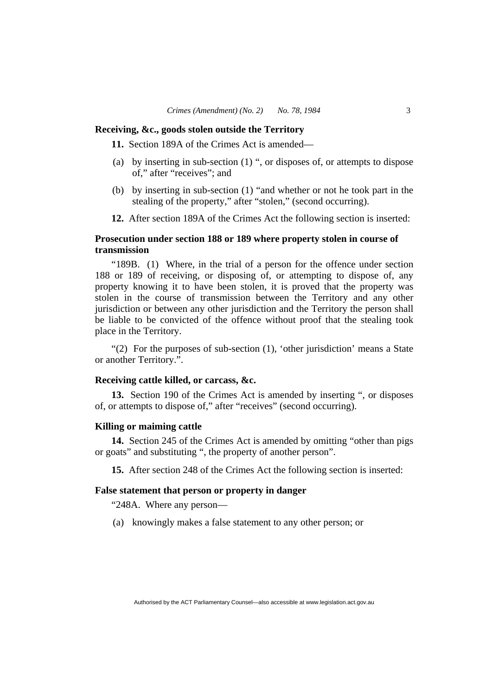#### **Receiving, &c., goods stolen outside the Territory**

**11.** Section 189A of the Crimes Act is amended—

- (a) by inserting in sub-section (1) ", or disposes of, or attempts to dispose of," after "receives"; and
- (b) by inserting in sub-section (1) "and whether or not he took part in the stealing of the property," after "stolen," (second occurring).
- **12.** After section 189A of the Crimes Act the following section is inserted:

## **Prosecution under section 188 or 189 where property stolen in course of transmission**

"189B. (1) Where, in the trial of a person for the offence under section 188 or 189 of receiving, or disposing of, or attempting to dispose of, any property knowing it to have been stolen, it is proved that the property was stolen in the course of transmission between the Territory and any other jurisdiction or between any other jurisdiction and the Territory the person shall be liable to be convicted of the offence without proof that the stealing took place in the Territory.

"(2) For the purposes of sub-section (1), 'other jurisdiction' means a State or another Territory.".

## **Receiving cattle killed, or carcass, &c.**

**13.** Section 190 of the Crimes Act is amended by inserting ", or disposes of, or attempts to dispose of," after "receives" (second occurring).

#### **Killing or maiming cattle**

**14.** Section 245 of the Crimes Act is amended by omitting "other than pigs or goats" and substituting ", the property of another person".

**15.** After section 248 of the Crimes Act the following section is inserted:

#### **False statement that person or property in danger**

"248A. Where any person—

(a) knowingly makes a false statement to any other person; or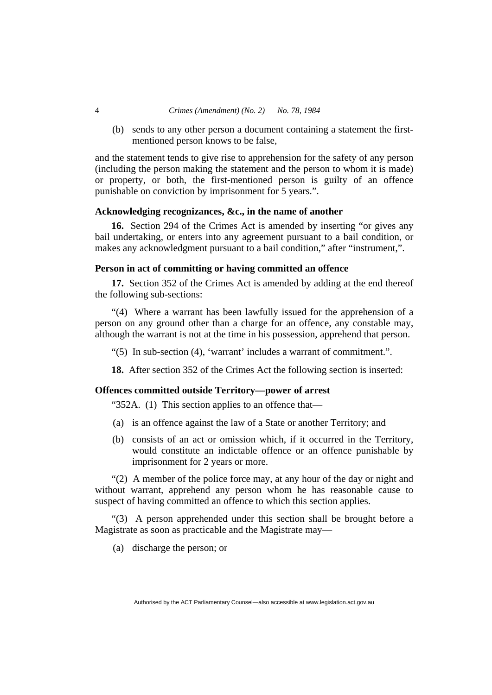#### 4 *Crimes (Amendment) (No. 2) No. 78, 1984*

 (b) sends to any other person a document containing a statement the firstmentioned person knows to be false,

and the statement tends to give rise to apprehension for the safety of any person (including the person making the statement and the person to whom it is made) or property, or both, the first-mentioned person is guilty of an offence punishable on conviction by imprisonment for 5 years.".

#### **Acknowledging recognizances, &c., in the name of another**

**16.** Section 294 of the Crimes Act is amended by inserting "or gives any bail undertaking, or enters into any agreement pursuant to a bail condition, or makes any acknowledgment pursuant to a bail condition," after "instrument,".

## **Person in act of committing or having committed an offence**

**17.** Section 352 of the Crimes Act is amended by adding at the end thereof the following sub-sections:

"(4) Where a warrant has been lawfully issued for the apprehension of a person on any ground other than a charge for an offence, any constable may, although the warrant is not at the time in his possession, apprehend that person.

"(5) In sub-section (4), 'warrant' includes a warrant of commitment.".

**18.** After section 352 of the Crimes Act the following section is inserted:

#### **Offences committed outside Territory—power of arrest**

"352A. (1) This section applies to an offence that—

- (a) is an offence against the law of a State or another Territory; and
- (b) consists of an act or omission which, if it occurred in the Territory, would constitute an indictable offence or an offence punishable by imprisonment for 2 years or more.

"(2) A member of the police force may, at any hour of the day or night and without warrant, apprehend any person whom he has reasonable cause to suspect of having committed an offence to which this section applies.

"(3) A person apprehended under this section shall be brought before a Magistrate as soon as practicable and the Magistrate may—

(a) discharge the person; or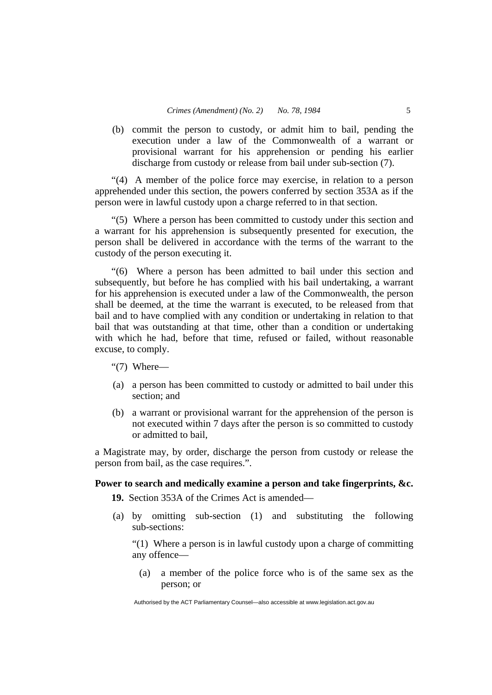(b) commit the person to custody, or admit him to bail, pending the execution under a law of the Commonwealth of a warrant or provisional warrant for his apprehension or pending his earlier discharge from custody or release from bail under sub-section (7).

"(4) A member of the police force may exercise, in relation to a person apprehended under this section, the powers conferred by section 353A as if the person were in lawful custody upon a charge referred to in that section.

"(5) Where a person has been committed to custody under this section and a warrant for his apprehension is subsequently presented for execution, the person shall be delivered in accordance with the terms of the warrant to the custody of the person executing it.

"(6) Where a person has been admitted to bail under this section and subsequently, but before he has complied with his bail undertaking, a warrant for his apprehension is executed under a law of the Commonwealth, the person shall be deemed, at the time the warrant is executed, to be released from that bail and to have complied with any condition or undertaking in relation to that bail that was outstanding at that time, other than a condition or undertaking with which he had, before that time, refused or failed, without reasonable excuse, to comply.

"(7) Where—

- (a) a person has been committed to custody or admitted to bail under this section; and
- (b) a warrant or provisional warrant for the apprehension of the person is not executed within 7 days after the person is so committed to custody or admitted to bail,

a Magistrate may, by order, discharge the person from custody or release the person from bail, as the case requires.".

## **Power to search and medically examine a person and take fingerprints, &c.**

**19.** Section 353A of the Crimes Act is amended—

 (a) by omitting sub-section (1) and substituting the following sub-sections:

"(1) Where a person is in lawful custody upon a charge of committing any offence—

 (a) a member of the police force who is of the same sex as the person; or

Authorised by the ACT Parliamentary Counsel—also accessible at www.legislation.act.gov.au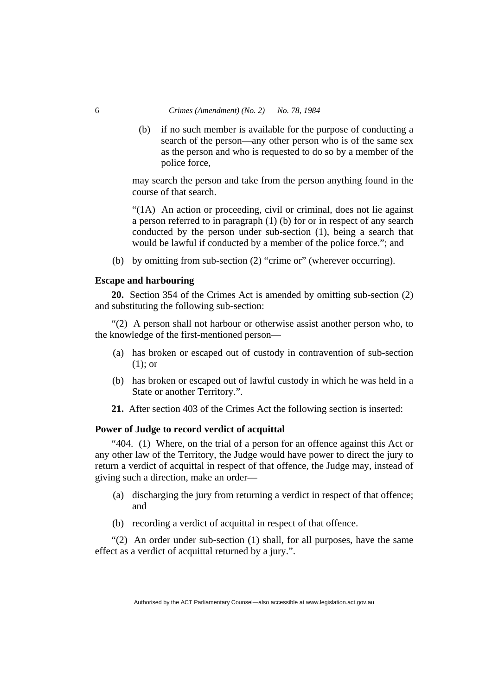(b) if no such member is available for the purpose of conducting a search of the person—any other person who is of the same sex as the person and who is requested to do so by a member of the police force,

may search the person and take from the person anything found in the course of that search.

"(1A) An action or proceeding, civil or criminal, does not lie against a person referred to in paragraph (1) (b) for or in respect of any search conducted by the person under sub-section (1), being a search that would be lawful if conducted by a member of the police force."; and

(b) by omitting from sub-section (2) "crime or" (wherever occurring).

#### **Escape and harbouring**

**20.** Section 354 of the Crimes Act is amended by omitting sub-section (2) and substituting the following sub-section:

"(2) A person shall not harbour or otherwise assist another person who, to the knowledge of the first-mentioned person—

- (a) has broken or escaped out of custody in contravention of sub-section (1); or
- (b) has broken or escaped out of lawful custody in which he was held in a State or another Territory.".
- **21.** After section 403 of the Crimes Act the following section is inserted:

#### **Power of Judge to record verdict of acquittal**

"404. (1) Where, on the trial of a person for an offence against this Act or any other law of the Territory, the Judge would have power to direct the jury to return a verdict of acquittal in respect of that offence, the Judge may, instead of giving such a direction, make an order—

- (a) discharging the jury from returning a verdict in respect of that offence; and
- (b) recording a verdict of acquittal in respect of that offence.

"(2) An order under sub-section (1) shall, for all purposes, have the same effect as a verdict of acquittal returned by a jury.".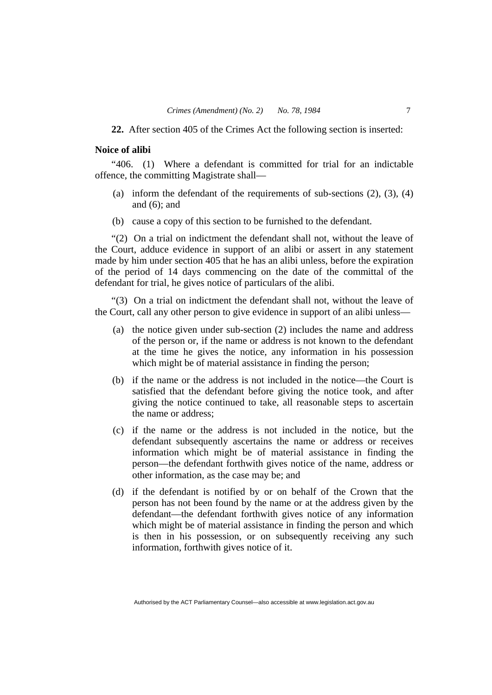**22.** After section 405 of the Crimes Act the following section is inserted:

## **Noice of alibi**

"406. (1) Where a defendant is committed for trial for an indictable offence, the committing Magistrate shall—

- (a) inform the defendant of the requirements of sub-sections  $(2)$ ,  $(3)$ ,  $(4)$ and (6); and
- (b) cause a copy of this section to be furnished to the defendant.

"(2) On a trial on indictment the defendant shall not, without the leave of the Court, adduce evidence in support of an alibi or assert in any statement made by him under section 405 that he has an alibi unless, before the expiration of the period of 14 days commencing on the date of the committal of the defendant for trial, he gives notice of particulars of the alibi.

"(3) On a trial on indictment the defendant shall not, without the leave of the Court, call any other person to give evidence in support of an alibi unless—

- (a) the notice given under sub-section (2) includes the name and address of the person or, if the name or address is not known to the defendant at the time he gives the notice, any information in his possession which might be of material assistance in finding the person;
- (b) if the name or the address is not included in the notice—the Court is satisfied that the defendant before giving the notice took, and after giving the notice continued to take, all reasonable steps to ascertain the name or address;
- (c) if the name or the address is not included in the notice, but the defendant subsequently ascertains the name or address or receives information which might be of material assistance in finding the person—the defendant forthwith gives notice of the name, address or other information, as the case may be; and
- (d) if the defendant is notified by or on behalf of the Crown that the person has not been found by the name or at the address given by the defendant—the defendant forthwith gives notice of any information which might be of material assistance in finding the person and which is then in his possession, or on subsequently receiving any such information, forthwith gives notice of it.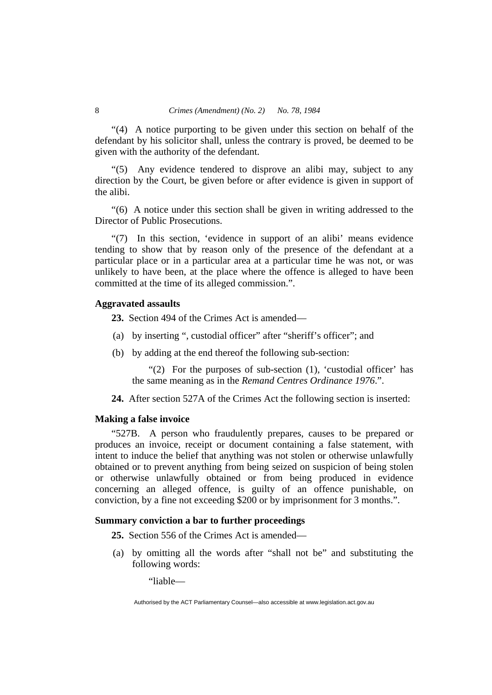"(4) A notice purporting to be given under this section on behalf of the defendant by his solicitor shall, unless the contrary is proved, be deemed to be given with the authority of the defendant.

"(5) Any evidence tendered to disprove an alibi may, subject to any direction by the Court, be given before or after evidence is given in support of the alibi.

"(6) A notice under this section shall be given in writing addressed to the Director of Public Prosecutions.

"(7) In this section, 'evidence in support of an alibi' means evidence tending to show that by reason only of the presence of the defendant at a particular place or in a particular area at a particular time he was not, or was unlikely to have been, at the place where the offence is alleged to have been committed at the time of its alleged commission.".

## **Aggravated assaults**

**23.** Section 494 of the Crimes Act is amended—

- (a) by inserting ", custodial officer" after "sheriff's officer"; and
- (b) by adding at the end thereof the following sub-section:

"(2) For the purposes of sub-section (1), 'custodial officer' has the same meaning as in the *Remand Centres Ordinance 1976*.".

**24.** After section 527A of the Crimes Act the following section is inserted:

#### **Making a false invoice**

"527B. A person who fraudulently prepares, causes to be prepared or produces an invoice, receipt or document containing a false statement, with intent to induce the belief that anything was not stolen or otherwise unlawfully obtained or to prevent anything from being seized on suspicion of being stolen or otherwise unlawfully obtained or from being produced in evidence concerning an alleged offence, is guilty of an offence punishable, on conviction, by a fine not exceeding \$200 or by imprisonment for 3 months.".

## **Summary conviction a bar to further proceedings**

**25.** Section 556 of the Crimes Act is amended—

 (a) by omitting all the words after "shall not be" and substituting the following words:

"liable—

Authorised by the ACT Parliamentary Counsel—also accessible at www.legislation.act.gov.au